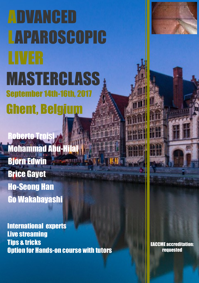# ADVANCED **LAPAROSCOPIC** MASTERCLASS September 14th-16th, 2017 Ghent, Belgium

**Roberto Trois Mohammad Abu-Hil** Bjorn Edwin Brice Gayet Ho-Seong Han Go Wakabayashi

International experts Live streaming Tips & tricks Option for Hands-on course with tutors



EACCME accreditation: requested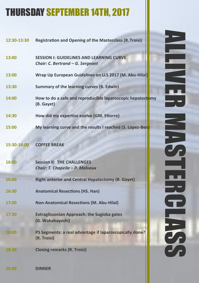## THURSDAY SEPTEMBER 14TH, 2017

| 12:30-13:30 | <b>Registration and Opening of the Masterclass (R. Troisi)</b>                      |  |
|-------------|-------------------------------------------------------------------------------------|--|
| 13:00       | <b>SESSION I: GUIDELINES AND LEARNING CURVE</b><br>Chair: C. Bertrand - G. Sergeant |  |
| 13:00       | Wrap Up European Guidelines on LLS 2017 (M. Abu-Hila)                               |  |
| 13:30       | Summary of the learning curves (B. Edwin)                                           |  |
| 14:00       | How to do a safe and reproducible laparoscopic hepatedtomy<br>(B. Gayet)            |  |
| 14:30       | How did my expertise evolve (GM. Ettorre)                                           |  |
| 15:00       | My learning curve and the results I reached (S. López-Ben)                          |  |
| 15:30-16:00 | <b>COFFEE BREAK</b>                                                                 |  |
| 16:00       | <b>Session II: THE CHALLENGES</b><br>Chair: T. Chapelle - P. Malvaux                |  |
| 16:00       | <b>Right anterior and Central Hepatectomy (B. Gayet)</b>                            |  |
| 16:30       | <b>Anatomical Resections (HS. Han)</b>                                              |  |
| 17:00       | <b>Non-Anatomical Resections (M. Abu-Hilal)</b>                                     |  |
| 17:30       | <b>Extraglissonian Approach: the Sugioka gates</b><br>(G. Wakabayashi)              |  |
| 18:00       | PS Segments: a real advantage if laparoscopically done?<br>(R. Troisi)              |  |
| 18.30       | <b>Closing remarks (R. Troisi)</b>                                                  |  |
| 20:00       | <b>DINNER</b>                                                                       |  |

ALLIVER

**MASTERCLASS** 

 $\sigma$ 

 $\overline{c}$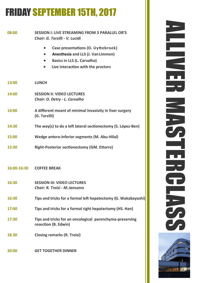## FRIDAY SEPTEMBER 15TH, 2017

**18.30 Closing remarks (R. Troisi)**

**20:00 GET TOGETHER DINNER**

#### **08:00 SESSION I: LIVE STREAMING FROM 3 PARALLEL OR'S** ALLIVER *Chair: G. Torzilli - V. Lucidi* **Case presentations (O. Uyttebroek) Anesthesia and LLS (J. VanLimmen) Basics in LLS (L. Carvalho) Live interaction with the proctors 13:00 LUNCH 14:00 SESSION II: VIDEO LECTURES** *Chair: O. Detry - L. Carvalho* MASTERCLASS**14:00 A different meant of minimal invasivity in liver surgery (G. Torzilli) 14:30 The way(s) to do a left lateral sectionectomy (S. López-Ben) 15:00 Wedge antero-inferior segments (M. Abu-Hilal) 15:30 Right-Posterior sectionectomy (GM. Ettorre) 16:00-16:30 COFFEE BREAK 16:30 SESSION III: VIDEO LECTURES** *Chair: R. Troisi - M.Janssens* **16:30 Tips and tricks for a formal left hepatectomy (G. Wakabayashi) 17:00 Tips and tricks for a formal right hepatectomy (HS. Han) 17:30 Tips and tricks for an oncological parenchyma-preserving resection (B. Edwin)**